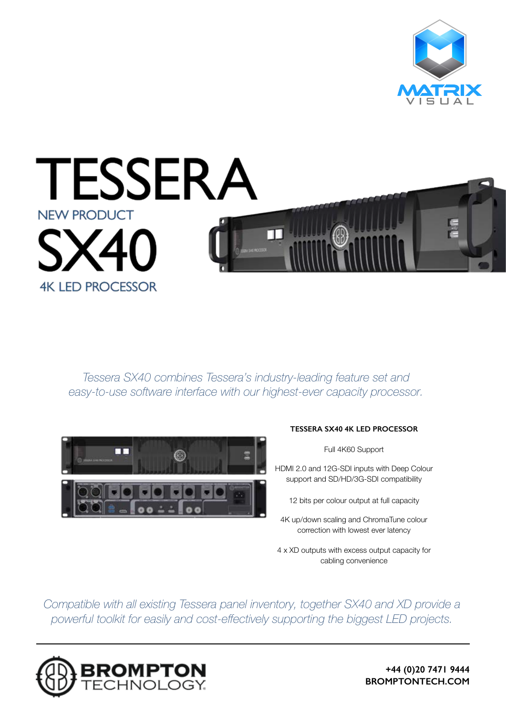



*Tessera SX40 combines Tessera's industry-leading feature set and easy-to-use software interface with our highest-ever capacity processor.*



## **TESSERA SX40 4K LED PROCESSOR**

Full 4K60 Support

HDMI 2.0 and 12G-SDI inputs with Deep Colour support and SD/HD/3G-SDI compatibility

12 bits per colour output at full capacity

4K up/down scaling and ChromaTune colour correction with lowest ever latency

4 x XD outputs with excess output capacity for cabling convenience

*Compatible with all existing Tessera panel inventory, together SX40 and XD provide a powerful toolkit for easily and cost-effectively supporting the biggest LED projects.*



**+44 (0)20 7471 9444 BROMPTONTECH.COM**